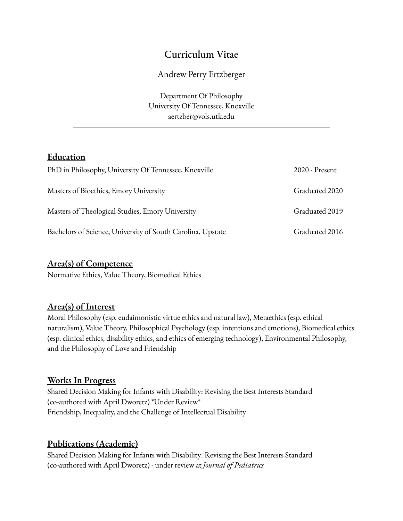# Curriculum Vitae

# Andrew Perry Ertzberger

Department Of Philosophy University Of Tennessee, Knoxville aertzber@vols.utk.edu

# **Education**

| PhD in Philosophy, University Of Tennessee, Knoxville       | 2020 - Present |
|-------------------------------------------------------------|----------------|
| Masters of Bioethics, Emory University                      | Graduated 2020 |
| Masters of Theological Studies, Emory University            | Graduated 2019 |
| Bachelors of Science, University of South Carolina, Upstate | Graduated 2016 |

# **Area(s) of Competence**

Normative Ethics, Value Theory, Biomedical Ethics

# **Area(s) of Interest**

Moral Philosophy (esp. eudaimonistic virtue ethics and natural law), Metaethics (esp. ethical naturalism), Value Theory, Philosophical Psychology (esp. intentions and emotions), Biomedical ethics (esp. clinical ethics, disability ethics, and ethics of emerging technology), Environmental Philosophy, and the Philosophy of Love and Friendship

#### **Works In Progress**

Shared Decision Making for Infants with Disability: Revising the Best Interests Standard (co-authored with April Dworetz) \*Under Review\* Friendship, Inequality, and the Challenge of Intellectual Disability

# **Publications (Academic)**

Shared Decision Making for Infants with Disability: Revising the Best Interests Standard (co-authored with April Dworetz) - under review at *Journal of Pediatrics*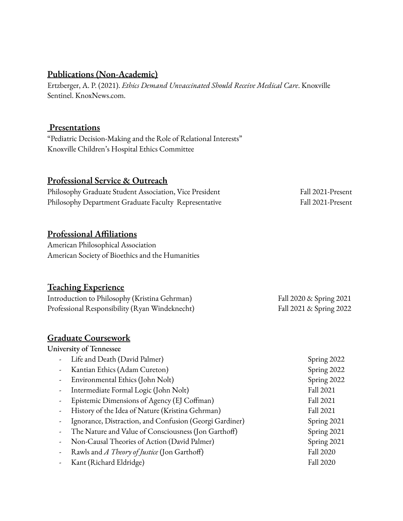## **Publications (Non-Academic)**

Ertzberger, A. P. (2021). *Ethics Demand Unvaccinated Should Receive Medical Care*. Knoxville Sentinel. KnoxNews.com.

#### **Presentations**

"Pediatric Decision-Making and the Role of Relational Interests" Knoxville Children's Hospital Ethics Committee

## **Professional Service & Outreach**

| Philosophy Graduate Student Association, Vice President | Fall 2021-Present |
|---------------------------------------------------------|-------------------|
| Philosophy Department Graduate Faculty Representative   | Fall 2021-Present |

# **Professional Affiliations**

American Philosophical Association American Society of Bioethics and the Humanities

# **Teaching Experience**

Introduction to Philosophy (Kristina Gehrman) Fall 2020 & Spring 2021 Professional Responsibility (Ryan Windeknecht) Fall 2021 & Spring 2022

#### **Graduate Coursework**

#### University of Tennessee

| Life and Death (David Palmer)                           | Spring 2022 |
|---------------------------------------------------------|-------------|
| Kantian Ethics (Adam Cureton)                           | Spring 2022 |
| Environmental Ethics (John Nolt)                        | Spring 2022 |
| Intermediate Formal Logic (John Nolt)                   | Fall 2021   |
| Epistemic Dimensions of Agency (EJ Coffman)             | Fall 2021   |
| History of the Idea of Nature (Kristina Gehrman)        | Fall 2021   |
| Ignorance, Distraction, and Confusion (Georgi Gardiner) | Spring 2021 |
| The Nature and Value of Consciousness (Jon Garthoff)    | Spring 2021 |
| Non-Causal Theories of Action (David Palmer)            | Spring 2021 |
| Rawls and <i>A Theory of Justice</i> (Jon Garthoff)     | Fall 2020   |
| Kant (Richard Eldridge)                                 | Fall 2020   |